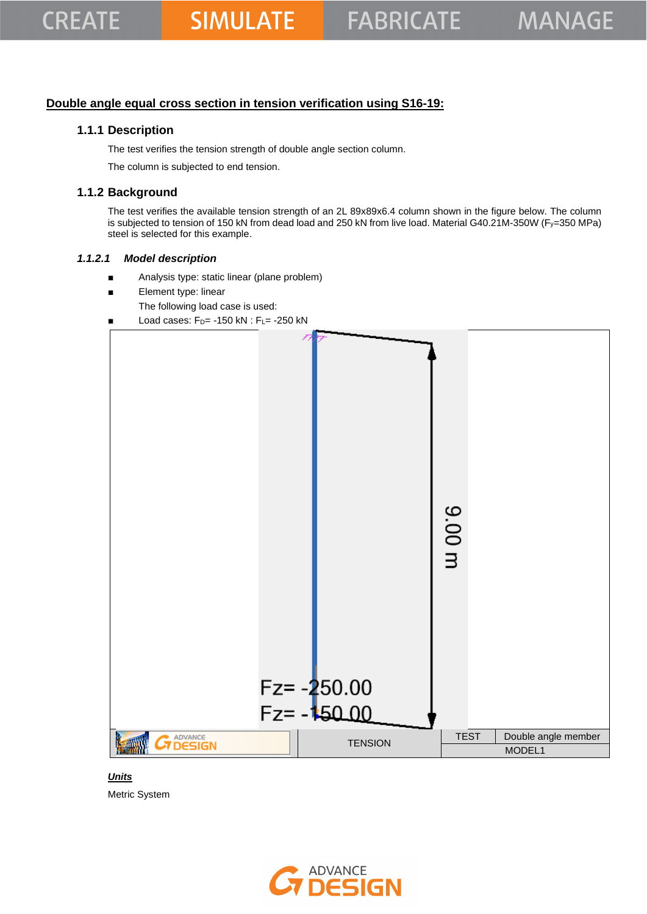## **Double angle equal cross section in tension verification using S16-19:**

### **1.1.1 Description**

The test verifies the tension strength of double angle section column.

The column is subjected to end tension.

## **1.1.2 Background**

The test verifies the available tension strength of an 2L 89x89x6.4 column shown in the figure below. The column is subjected to tension of 150 kN from dead load and 250 kN from live load. Material G40.21M-350W (Fy=350 MPa) steel is selected for this example.

#### *1.1.2.1 Model description*

- Analysis type: static linear (plane problem)
- Element type: linear
	- The following load case is used:
- Load cases:  $F_D$ = -150 kN :  $F_L$ = -250 kN



*Units* Metric System

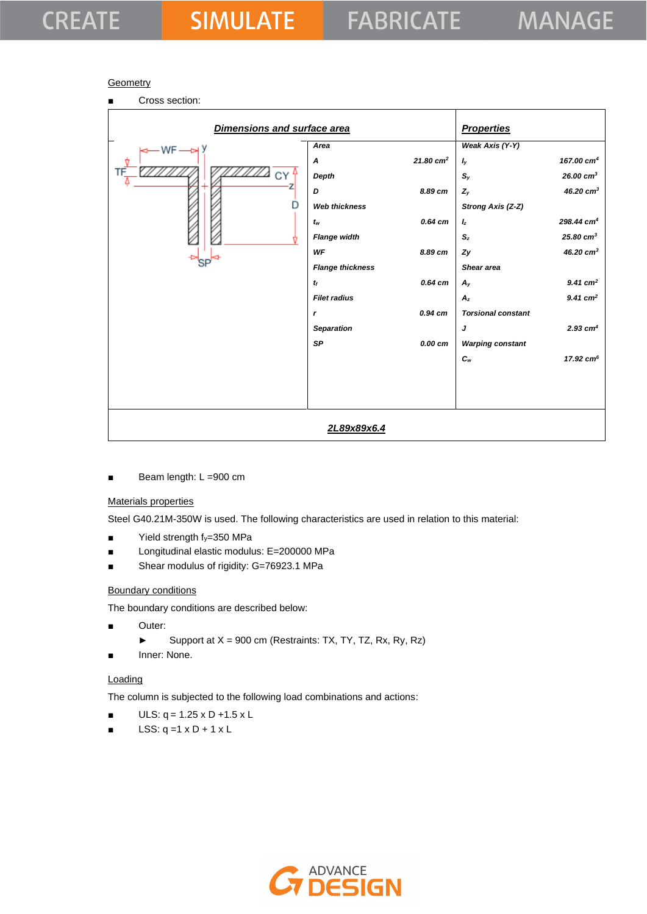# **CREATE**

#### **Geometry**

| Cross section:<br>п         |                         |                      |                           |                        |
|-----------------------------|-------------------------|----------------------|---------------------------|------------------------|
| Dimensions and surface area |                         |                      | <b>Properties</b>         |                        |
| $-WF -$                     | Area                    |                      | Weak Axis (Y-Y)           |                        |
|                             | A                       | $21.80 \text{ cm}^2$ | $I_y$                     | 167.00 cm <sup>4</sup> |
|                             | Depth                   |                      | $\mathbb{S}_\mathsf{y}$   | $26.00 \text{ cm}^3$   |
|                             | D                       | 8.89 cm              | $Z_{y}$                   | 46.20 $cm3$            |
|                             | <b>Web thickness</b>    |                      | Strong Axis (Z-Z)         |                        |
|                             | $t_w$                   | $0.64$ cm            | $I_z$                     | $298.44 \text{ cm}^4$  |
|                             | <b>Flange width</b>     |                      | S <sub>z</sub>            | $25.80 \text{ cm}^3$   |
|                             | WF                      | 8.89 cm              | Zy                        | 46.20 cm <sup>3</sup>  |
|                             | <b>Flange thickness</b> |                      | Shear area                |                        |
|                             | $t_f$                   | 0.64 cm              | $A_{y}$                   | $9.41 \text{ cm}^2$    |
|                             | <b>Filet radius</b>     |                      | $A_z$                     | $9.41$ cm <sup>2</sup> |
|                             | $\mathbf{r}$            | $0.94$ cm            | <b>Torsional constant</b> |                        |
|                             | <b>Separation</b>       |                      | J                         | $2.93$ cm <sup>4</sup> |
|                             | <b>SP</b>               | 0.00 cm              | <b>Warping constant</b>   |                        |
|                             |                         |                      | $c_{w}$                   | $17.92 \text{ cm}^6$   |
|                             |                         |                      |                           |                        |
|                             |                         |                      |                           |                        |
|                             |                         |                      |                           |                        |
|                             | 2L89x89x6.4             |                      |                           |                        |

■ Beam length: L =900 cm

### Materials properties

Steel G40.21M-350W is used. The following characteristics are used in relation to this material:

- $\blacksquare$  Yield strength  $f_y=350$  MPa
- Longitudinal elastic modulus: E=200000 MPa
- Shear modulus of rigidity: G=76923.1 MPa

#### Boundary conditions

The boundary conditions are described below:

- Outer:
	- ► Support at  $X = 900$  cm (Restraints: TX, TY, TZ, Rx, Ry, Rz)
- Inner: None.

#### **Loading**

The column is subjected to the following load combinations and actions:

- $ULS: q = 1.25 \times D + 1.5 \times L$
- $\blacksquare$  LSS: q =1 x D + 1 x L

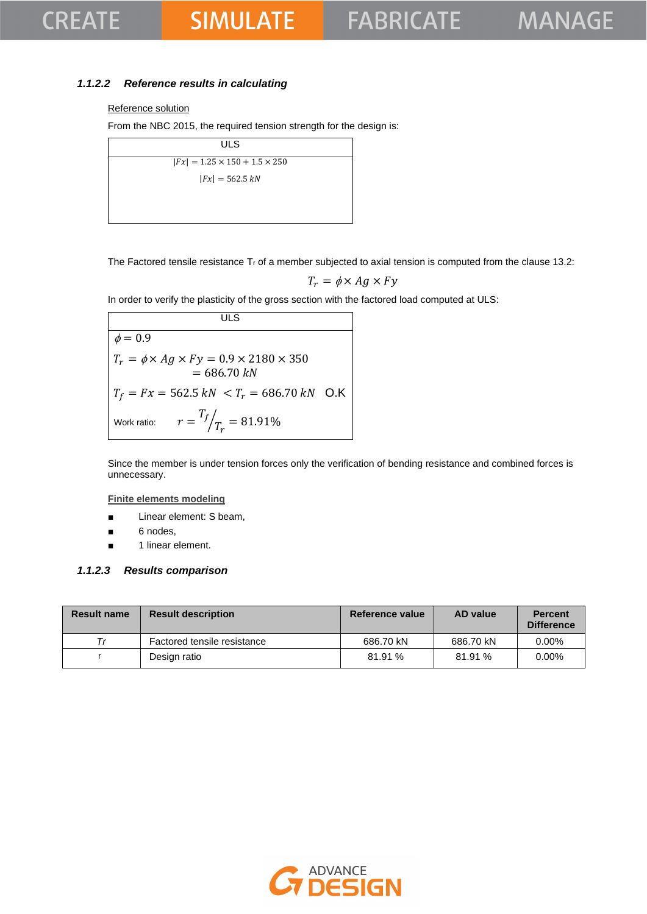## **CREATE**

## **SIMULATE**

## *1.1.2.2 Reference results in calculating*

#### Reference solution

From the NBC 2015, the required tension strength for the design is:

| <b>ULS</b>                                |  |
|-------------------------------------------|--|
| $ Fx  = 1.25 \times 150 + 1.5 \times 250$ |  |
| $ Fx  = 562.5 kN$                         |  |
|                                           |  |
|                                           |  |

The Factored tensile resistance  $T_r$  of a member subjected to axial tension is computed from the clause 13.2:

$$
T_r = \phi \times Ag \times Fy
$$

In order to verify the plasticity of the gross section with the factored load computed at ULS:

**ULS**  $\phi = 0.9$  $T_r = \phi \times Ag \times Fy = 0.9 \times 2180 \times 350$  $= 686.70 kN$  $T_f = Fx = 562.5 \text{ kN } < T_r = 686.70 \text{ kN }$  O.K Work ratio:  $T_f$  $\sqrt{T_r} = 81.91\%$ 

Since the member is under tension forces only the verification of bending resistance and combined forces is unnecessary.

**Finite elements modeling**

- Linear element: S beam,
- 6 nodes,
- 1 linear element.

#### *1.1.2.3 Results comparison*

| <b>Result name</b> | <b>Result description</b>   | <b>Reference value</b> | AD value  | <b>Percent</b><br><b>Difference</b> |
|--------------------|-----------------------------|------------------------|-----------|-------------------------------------|
| Тr                 | Factored tensile resistance | 686.70 kN              | 686.70 kN | $0.00\%$                            |
|                    | Design ratio                | 81.91%                 | 81.91%    | $0.00\%$                            |